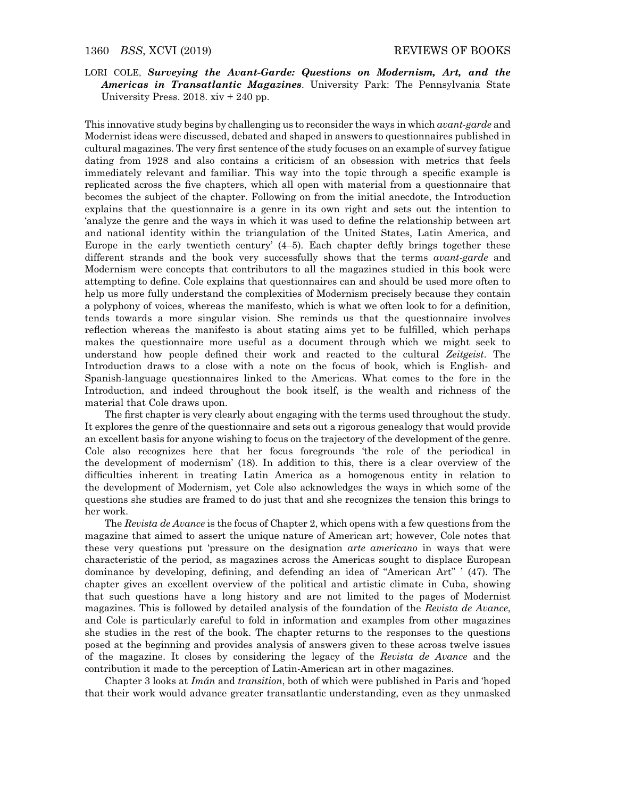LORI COLE, Surveying the Avant-Garde: Questions on Modernism, Art, and the Americas in Transatlantic Magazines. University Park: The Pennsylvania State University Press. 2018. xiv + 240 pp.

This innovative study begins by challenging us to reconsider the ways in which *avant-garde* and Modernist ideas were discussed, debated and shaped in answers to questionnaires published in cultural magazines. The very first sentence of the study focuses on an example of survey fatigue dating from 1928 and also contains a criticism of an obsession with metrics that feels immediately relevant and familiar. This way into the topic through a specific example is replicated across the five chapters, which all open with material from a questionnaire that becomes the subject of the chapter. Following on from the initial anecdote, the Introduction explains that the questionnaire is a genre in its own right and sets out the intention to 'analyze the genre and the ways in which it was used to define the relationship between art and national identity within the triangulation of the United States, Latin America, and Europe in the early twentieth century' (4–5). Each chapter deftly brings together these different strands and the book very successfully shows that the terms *avant-garde* and Modernism were concepts that contributors to all the magazines studied in this book were attempting to define. Cole explains that questionnaires can and should be used more often to help us more fully understand the complexities of Modernism precisely because they contain a polyphony of voices, whereas the manifesto, which is what we often look to for a definition, tends towards a more singular vision. She reminds us that the questionnaire involves reflection whereas the manifesto is about stating aims yet to be fulfilled, which perhaps makes the questionnaire more useful as a document through which we might seek to understand how people defined their work and reacted to the cultural Zeitgeist. The Introduction draws to a close with a note on the focus of book, which is English- and Spanish-language questionnaires linked to the Americas. What comes to the fore in the Introduction, and indeed throughout the book itself, is the wealth and richness of the material that Cole draws upon.

The first chapter is very clearly about engaging with the terms used throughout the study. It explores the genre of the questionnaire and sets out a rigorous genealogy that would provide an excellent basis for anyone wishing to focus on the trajectory of the development of the genre. Cole also recognizes here that her focus foregrounds 'the role of the periodical in the development of modernism' (18). In addition to this, there is a clear overview of the difficulties inherent in treating Latin America as a homogenous entity in relation to the development of Modernism, yet Cole also acknowledges the ways in which some of the questions she studies are framed to do just that and she recognizes the tension this brings to her work.

The Revista de Avance is the focus of Chapter 2, which opens with a few questions from the magazine that aimed to assert the unique nature of American art; however, Cole notes that these very questions put 'pressure on the designation arte americano in ways that were characteristic of the period, as magazines across the Americas sought to displace European dominance by developing, defining, and defending an idea of "American Art" ' (47). The chapter gives an excellent overview of the political and artistic climate in Cuba, showing that such questions have a long history and are not limited to the pages of Modernist magazines. This is followed by detailed analysis of the foundation of the Revista de Avance, and Cole is particularly careful to fold in information and examples from other magazines she studies in the rest of the book. The chapter returns to the responses to the questions posed at the beginning and provides analysis of answers given to these across twelve issues of the magazine. It closes by considering the legacy of the Revista de Avance and the contribution it made to the perception of Latin-American art in other magazines.

Chapter 3 looks at Imán and transition, both of which were published in Paris and 'hoped that their work would advance greater transatlantic understanding, even as they unmasked